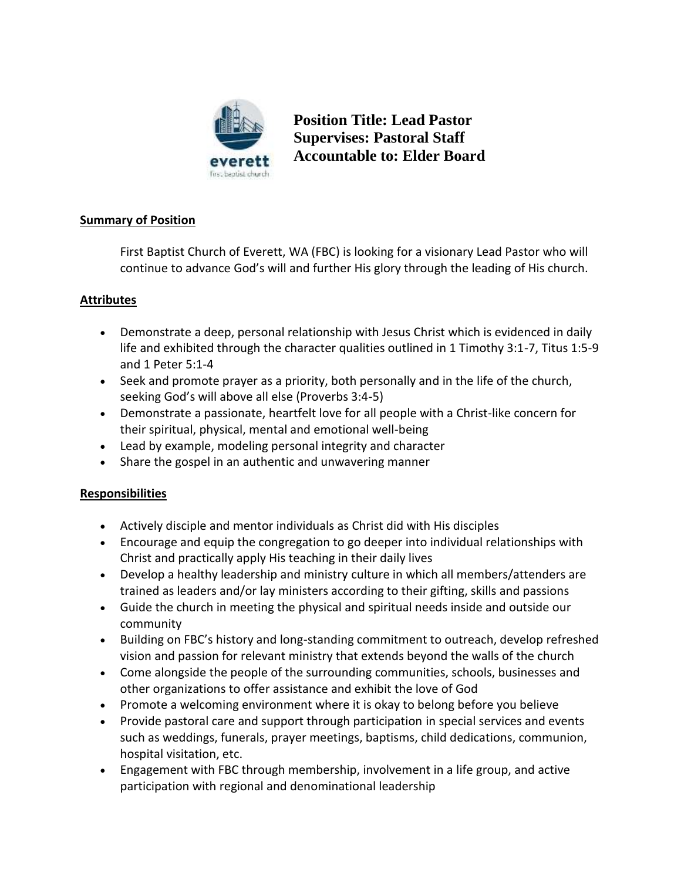

**Position Title: Lead Pastor Supervises: Pastoral Staff Accountable to: Elder Board**

## **Summary of Position**

First Baptist Church of Everett, WA (FBC) is looking for a visionary Lead Pastor who will continue to advance God's will and further His glory through the leading of His church.

## **Attributes**

- Demonstrate a deep, personal relationship with Jesus Christ which is evidenced in daily life and exhibited through the character qualities outlined in 1 Timothy 3:1-7, Titus 1:5-9 and 1 Peter 5:1-4
- Seek and promote prayer as a priority, both personally and in the life of the church, seeking God's will above all else (Proverbs 3:4-5)
- Demonstrate a passionate, heartfelt love for all people with a Christ-like concern for their spiritual, physical, mental and emotional well-being
- Lead by example, modeling personal integrity and character
- Share the gospel in an authentic and unwavering manner

## **Responsibilities**

- Actively disciple and mentor individuals as Christ did with His disciples
- Encourage and equip the congregation to go deeper into individual relationships with Christ and practically apply His teaching in their daily lives
- Develop a healthy leadership and ministry culture in which all members/attenders are trained as leaders and/or lay ministers according to their gifting, skills and passions
- Guide the church in meeting the physical and spiritual needs inside and outside our community
- Building on FBC's history and long-standing commitment to outreach, develop refreshed vision and passion for relevant ministry that extends beyond the walls of the church
- Come alongside the people of the surrounding communities, schools, businesses and other organizations to offer assistance and exhibit the love of God
- Promote a welcoming environment where it is okay to belong before you believe
- Provide pastoral care and support through participation in special services and events such as weddings, funerals, prayer meetings, baptisms, child dedications, communion, hospital visitation, etc.
- Engagement with FBC through membership, involvement in a life group, and active participation with regional and denominational leadership